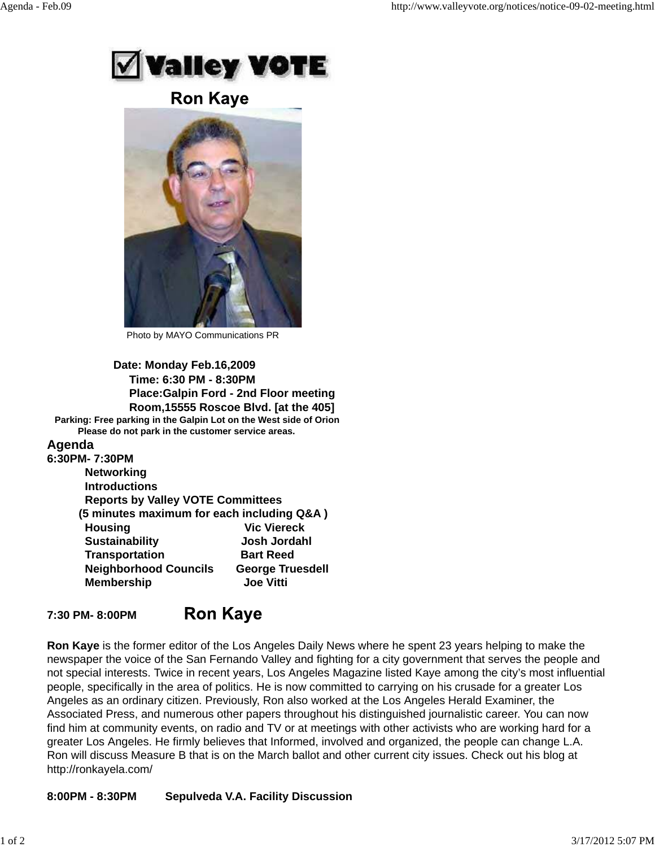

**Ron Kaye** 



Photo by MAYO Communications PR

**Date: Monday Feb.16,2009 Time: 6:30 PM - 8:30PM Place:Galpin Ford - 2nd Floor meeting Room,15555 Roscoe Blvd. [at the 405] Parking: Free parking in the Galpin Lot on the West side of Orion Please do not park in the customer service areas. Agenda**

## **6:30PM- 7:30PM**

| U.JUI IVI- 1.JUI IVI                       |                         |
|--------------------------------------------|-------------------------|
| <b>Networking</b>                          |                         |
| <b>Introductions</b>                       |                         |
| <b>Reports by Valley VOTE Committees</b>   |                         |
| (5 minutes maximum for each including Q&A) |                         |
| <b>Housing</b>                             | <b>Vic Viereck</b>      |
| <b>Sustainability</b>                      | Josh Jordahl            |
| <b>Transportation</b>                      | <b>Bart Reed</b>        |
| <b>Neighborhood Councils</b>               | <b>George Truesdell</b> |
| <b>Membership</b>                          | <b>Joe Vitti</b>        |

## **Ron Kaye 7:30 PM- 8:00PM**

**Ron Kaye** is the former editor of the Los Angeles Daily News where he spent 23 years helping to make the newspaper the voice of the San Fernando Valley and fighting for a city government that serves the people and not special interests. Twice in recent years, Los Angeles Magazine listed Kaye among the city's most influential people, specifically in the area of politics. He is now committed to carrying on his crusade for a greater Los Angeles as an ordinary citizen. Previously, Ron also worked at the Los Angeles Herald Examiner, the Associated Press, and numerous other papers throughout his distinguished journalistic career. You can now find him at community events, on radio and TV or at meetings with other activists who are working hard for a greater Los Angeles. He firmly believes that Informed, involved and organized, the people can change L.A. Ron will discuss Measure B that is on the March ballot and other current city issues. Check out his blog at http://ronkayela.com/

## **8:00PM - 8:30PM Sepulveda V.A. Facility Discussion**